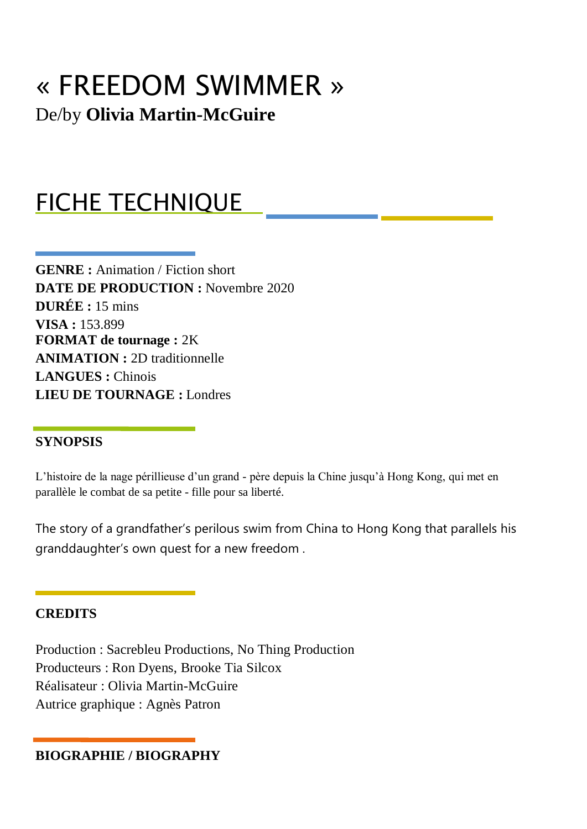# « FREEDOM SWIMMER » De/by **Olivia Martin-McGuire**

## FICHE TECHNIQUE

**GENRE :** Animation / Fiction short **DATE DE PRODUCTION :** Novembre 2020 **DURÉE :** 15 mins **VISA :** 153.899 **FORMAT de tournage :** 2K **ANIMATION :** 2D traditionnelle **LANGUES :** Chinois **LIEU DE TOURNAGE :** Londres

### **SYNOPSIS**

L'histoire de la nage périllieuse d'un grand - père depuis la Chine jusqu'à Hong Kong, qui met en parallèle le combat de sa petite - fille pour sa liberté.

The story of a grandfather's perilous swim from China to Hong Kong that parallels his granddaughter's own quest for a new freedom .

#### **CREDITS**

Production : Sacrebleu Productions, No Thing Production Producteurs : Ron Dyens, Brooke Tia Silcox Réalisateur : Olivia Martin-McGuire Autrice graphique : Agnès Patron

### **BIOGRAPHIE / BIOGRAPHY**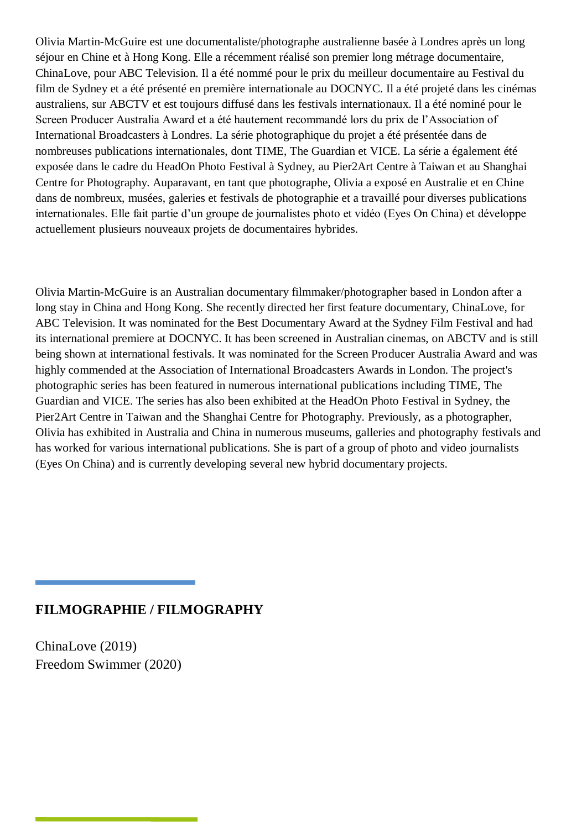Olivia Martin-McGuire est une documentaliste/photographe australienne basée à Londres après un long séjour en Chine et à Hong Kong. Elle a récemment réalisé son premier long métrage documentaire, ChinaLove, pour ABC Television. Il a été nommé pour le prix du meilleur documentaire au Festival du film de Sydney et a été présenté en première internationale au DOCNYC. Il a été projeté dans les cinémas australiens, sur ABCTV et est toujours diffusé dans les festivals internationaux. Il a été nominé pour le Screen Producer Australia Award et a été hautement recommandé lors du prix de l'Association of International Broadcasters à Londres. La série photographique du projet a été présentée dans de nombreuses publications internationales, dont TIME, The Guardian et VICE. La série a également été exposée dans le cadre du HeadOn Photo Festival à Sydney, au Pier2Art Centre à Taiwan et au Shanghai Centre for Photography. Auparavant, en tant que photographe, Olivia a exposé en Australie et en Chine dans de nombreux, musées, galeries et festivals de photographie et a travaillé pour diverses publications internationales. Elle fait partie d'un groupe de journalistes photo et vidéo (Eyes On China) et développe actuellement plusieurs nouveaux projets de documentaires hybrides.

Olivia Martin-McGuire is an Australian documentary filmmaker/photographer based in London after a long stay in China and Hong Kong. She recently directed her first feature documentary, ChinaLove, for ABC Television. It was nominated for the Best Documentary Award at the Sydney Film Festival and had its international premiere at DOCNYC. It has been screened in Australian cinemas, on ABCTV and is still being shown at international festivals. It was nominated for the Screen Producer Australia Award and was highly commended at the Association of International Broadcasters Awards in London. The project's photographic series has been featured in numerous international publications including TIME, The Guardian and VICE. The series has also been exhibited at the HeadOn Photo Festival in Sydney, the Pier2Art Centre in Taiwan and the Shanghai Centre for Photography. Previously, as a photographer, Olivia has exhibited in Australia and China in numerous museums, galleries and photography festivals and has worked for various international publications. She is part of a group of photo and video journalists (Eyes On China) and is currently developing several new hybrid documentary projects.

#### **FILMOGRAPHIE / FILMOGRAPHY**

ChinaLove (2019) Freedom Swimmer (2020)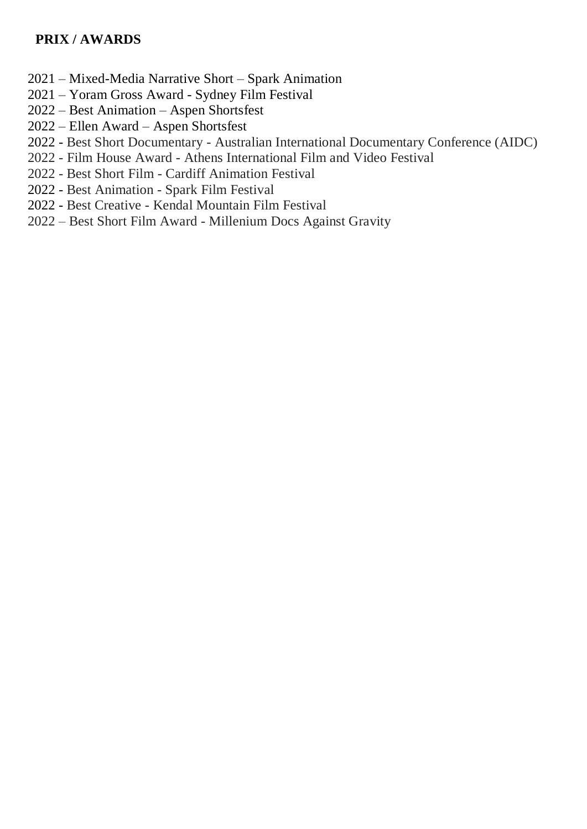### **PRIX / AWARDS**

- 2021 Mixed-Media Narrative Short Spark Animation
- 2021 Yoram Gross Award Sydney Film Festival
- 2022 Best Animation Aspen Shortsfest
- 2022 Ellen Award Aspen Shortsfest
- 2022 Best Short Documentary Australian International Documentary Conference (AIDC)
- 2022 Film House Award Athens International Film and Video Festival
- 2022 Best Short Film Cardiff Animation Festival
- 2022 Best Animation Spark Film Festival
- 2022 Best Creative Kendal Mountain Film Festival
- 2022 Best Short Film Award Millenium Docs Against Gravity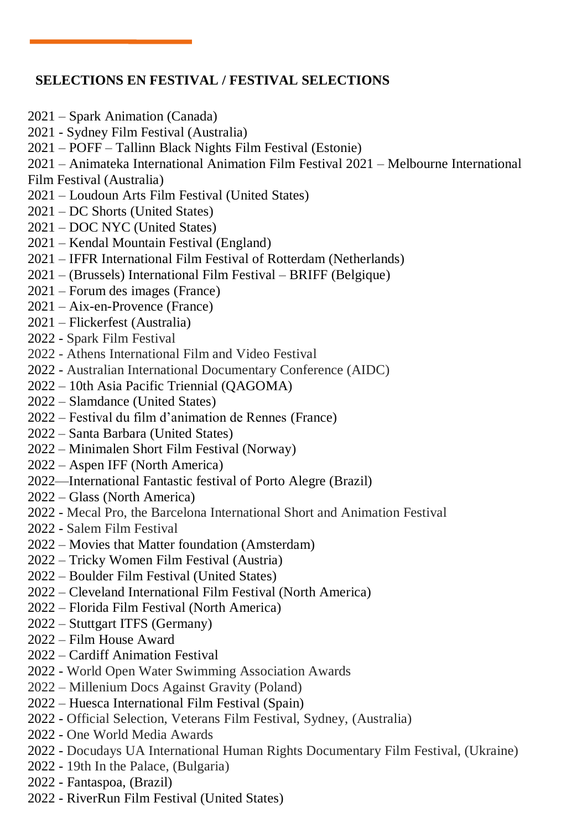## **SELECTIONS EN FESTIVAL / FESTIVAL SELECTIONS**

- 2021 Spark Animation (Canada)
- 2021 Sydney Film Festival (Australia)
- 2021 POFF Tallinn Black Nights Film Festival (Estonie)
- 2021 Animateka International Animation Film Festival 2021 Melbourne International
- Film Festival (Australia)
- 2021 Loudoun Arts Film Festival (United States)
- 2021 DC Shorts (United States)
- 2021 DOC NYC (United States)
- 2021 Kendal Mountain Festival (England)
- 2021 IFFR International Film Festival of Rotterdam (Netherlands)
- 2021 (Brussels) International Film Festival BRIFF (Belgique)
- 2021 Forum des images (France)
- 2021 Aix-en-Provence (France)
- 2021 Flickerfest (Australia)
- 2022 Spark Film Festival
- 2022 Athens International Film and Video Festival
- 2022 Australian International Documentary Conference (AIDC)
- 2022 10th Asia Pacific Triennial (QAGOMA)
- 2022 Slamdance (United States)
- 2022 Festival du film d'animation de Rennes (France)
- 2022 Santa Barbara (United States)
- 2022 Minimalen Short Film Festival (Norway)
- 2022 Aspen IFF (North America)
- 2022—International Fantastic festival of Porto Alegre (Brazil)
- 2022 Glass (North America)
- 2022 Mecal Pro, the Barcelona International Short and Animation Festival
- 2022 Salem Film Festival
- 2022 Movies that Matter foundation (Amsterdam)
- 2022 Tricky Women Film Festival (Austria)
- 2022 Boulder Film Festival (United States)
- 2022 Cleveland International Film Festival (North America)
- 2022 Florida Film Festival (North America)
- 2022 Stuttgart ITFS (Germany)
- 2022 Film House Award
- 2022 Cardiff Animation Festival
- 2022 World Open Water Swimming Association Awards
- 2022 Millenium Docs Against Gravity (Poland)
- 2022 Huesca International Film Festival (Spain)
- 2022 Official Selection, Veterans Film Festival, Sydney, (Australia)
- 2022 One World Media Awards
- 2022 Docudays UA International Human Rights Documentary Film Festival, (Ukraine)
- 2022 19th In the Palace, (Bulgaria)
- 2022 Fantaspoa, (Brazil)
- 2022 RiverRun Film Festival (United States)